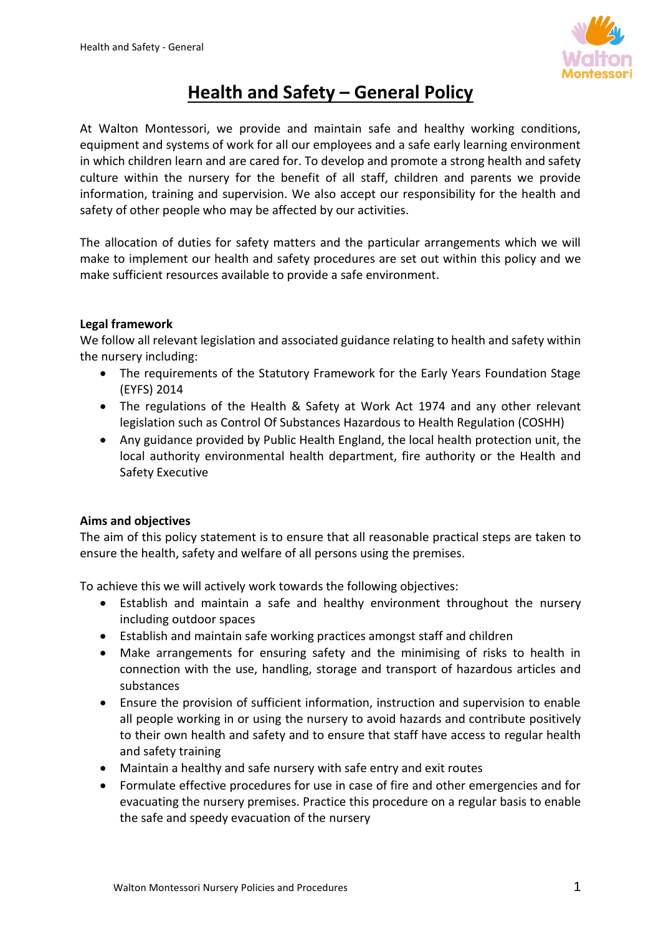

# **Health and Safety – General Policy**

At Walton Montessori, we provide and maintain safe and healthy working conditions, equipment and systems of work for all our employees and a safe early learning environment in which children learn and are cared for. To develop and promote a strong health and safety culture within the nursery for the benefit of all staff, children and parents we provide information, training and supervision. We also accept our responsibility for the health and safety of other people who may be affected by our activities.

The allocation of duties for safety matters and the particular arrangements which we will make to implement our health and safety procedures are set out within this policy and we make sufficient resources available to provide a safe environment.

### **Legal framework**

We follow all relevant legislation and associated guidance relating to health and safety within the nursery including:

- The requirements of the Statutory Framework for the Early Years Foundation Stage (EYFS) 2014
- The regulations of the Health & Safety at Work Act 1974 and any other relevant legislation such as Control Of Substances Hazardous to Health Regulation (COSHH)
- Any guidance provided by Public Health England, the local health protection unit, the local authority environmental health department, fire authority or the Health and Safety Executive

## **Aims and objectives**

The aim of this policy statement is to ensure that all reasonable practical steps are taken to ensure the health, safety and welfare of all persons using the premises.

To achieve this we will actively work towards the following objectives:

- Establish and maintain a safe and healthy environment throughout the nursery including outdoor spaces
- Establish and maintain safe working practices amongst staff and children
- Make arrangements for ensuring safety and the minimising of risks to health in connection with the use, handling, storage and transport of hazardous articles and substances
- Ensure the provision of sufficient information, instruction and supervision to enable all people working in or using the nursery to avoid hazards and contribute positively to their own health and safety and to ensure that staff have access to regular health and safety training
- Maintain a healthy and safe nursery with safe entry and exit routes
- Formulate effective procedures for use in case of fire and other emergencies and for evacuating the nursery premises. Practice this procedure on a regular basis to enable the safe and speedy evacuation of the nursery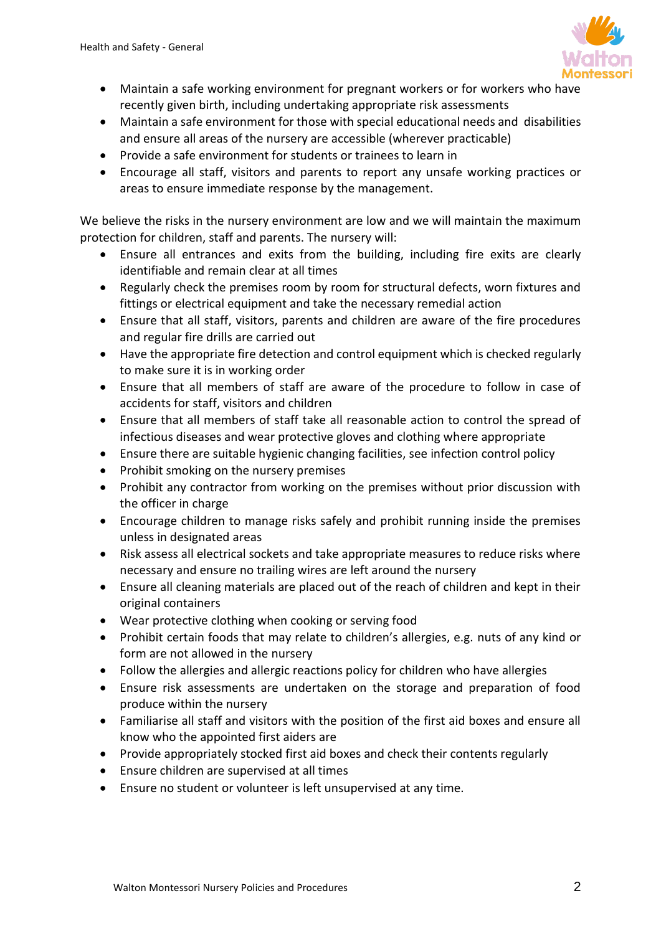

- Maintain a safe working environment for pregnant workers or for workers who have recently given birth, including undertaking appropriate risk assessments
- Maintain a safe environment for those with special educational needs and disabilities and ensure all areas of the nursery are accessible (wherever practicable)
- Provide a safe environment for students or trainees to learn in
- Encourage all staff, visitors and parents to report any unsafe working practices or areas to ensure immediate response by the management.

We believe the risks in the nursery environment are low and we will maintain the maximum protection for children, staff and parents. The nursery will:

- Ensure all entrances and exits from the building, including fire exits are clearly identifiable and remain clear at all times
- Regularly check the premises room by room for structural defects, worn fixtures and fittings or electrical equipment and take the necessary remedial action
- Ensure that all staff, visitors, parents and children are aware of the fire procedures and regular fire drills are carried out
- Have the appropriate fire detection and control equipment which is checked regularly to make sure it is in working order
- Ensure that all members of staff are aware of the procedure to follow in case of accidents for staff, visitors and children
- Ensure that all members of staff take all reasonable action to control the spread of infectious diseases and wear protective gloves and clothing where appropriate
- Ensure there are suitable hygienic changing facilities, see infection control policy
- Prohibit smoking on the nursery premises
- Prohibit any contractor from working on the premises without prior discussion with the officer in charge
- Encourage children to manage risks safely and prohibit running inside the premises unless in designated areas
- Risk assess all electrical sockets and take appropriate measures to reduce risks where necessary and ensure no trailing wires are left around the nursery
- Ensure all cleaning materials are placed out of the reach of children and kept in their original containers
- Wear protective clothing when cooking or serving food
- Prohibit certain foods that may relate to children's allergies, e.g. nuts of any kind or form are not allowed in the nursery
- Follow the allergies and allergic reactions policy for children who have allergies
- Ensure risk assessments are undertaken on the storage and preparation of food produce within the nursery
- Familiarise all staff and visitors with the position of the first aid boxes and ensure all know who the appointed first aiders are
- Provide appropriately stocked first aid boxes and check their contents regularly
- Ensure children are supervised at all times
- Ensure no student or volunteer is left unsupervised at any time.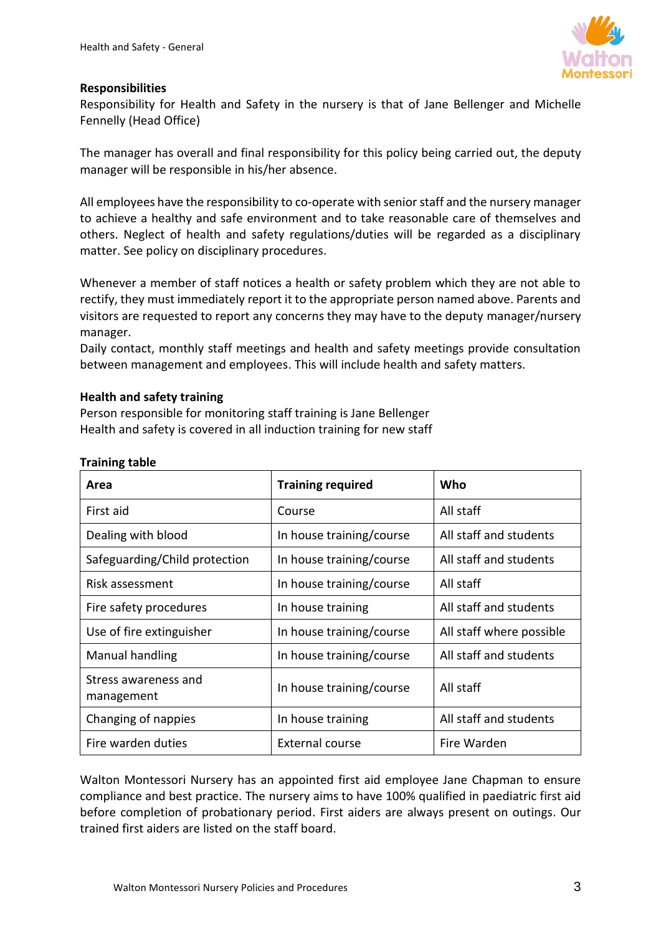

#### **Responsibilities**

Responsibility for Health and Safety in the nursery is that of Jane Bellenger and Michelle Fennelly (Head Office)

The manager has overall and final responsibility for this policy being carried out, the deputy manager will be responsible in his/her absence.

All employees have the responsibility to co-operate with senior staff and the nursery manager to achieve a healthy and safe environment and to take reasonable care of themselves and others. Neglect of health and safety regulations/duties will be regarded as a disciplinary matter. See policy on disciplinary procedures.

Whenever a member of staff notices a health or safety problem which they are not able to rectify, they must immediately report it to the appropriate person named above. Parents and visitors are requested to report any concerns they may have to the deputy manager/nursery manager.

Daily contact, monthly staff meetings and health and safety meetings provide consultation between management and employees. This will include health and safety matters.

#### **Health and safety training**

Person responsible for monitoring staff training is Jane Bellenger Health and safety is covered in all induction training for new staff

| Area                               | <b>Training required</b> | Who                      |
|------------------------------------|--------------------------|--------------------------|
| First aid                          | Course                   | All staff                |
| Dealing with blood                 | In house training/course | All staff and students   |
| Safeguarding/Child protection      | In house training/course | All staff and students   |
| Risk assessment                    | In house training/course | All staff                |
| Fire safety procedures             | In house training        | All staff and students   |
| Use of fire extinguisher           | In house training/course | All staff where possible |
| Manual handling                    | In house training/course | All staff and students   |
| Stress awareness and<br>management | In house training/course | All staff                |
| Changing of nappies                | In house training        | All staff and students   |
| Fire warden duties                 | External course          | Fire Warden              |

#### **Training table**

Walton Montessori Nursery has an appointed first aid employee Jane Chapman to ensure compliance and best practice. The nursery aims to have 100% qualified in paediatric first aid before completion of probationary period. First aiders are always present on outings. Our trained first aiders are listed on the staff board.